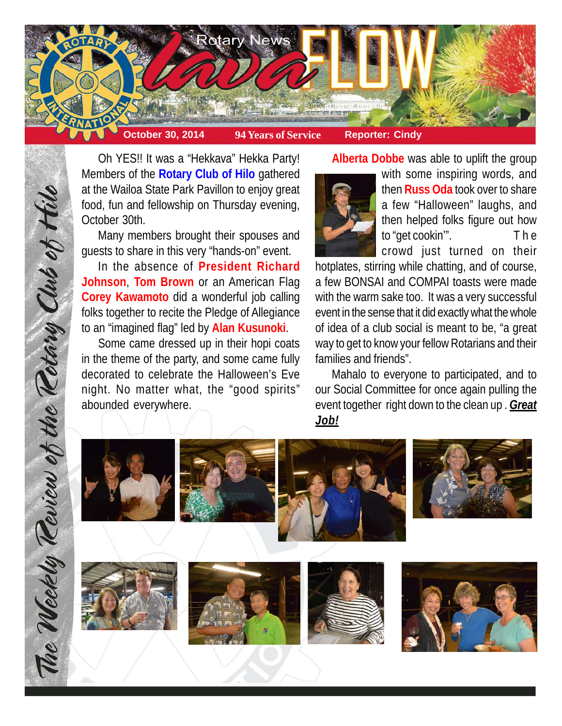

Oh YES!! It was a "Hekkava" Hekka Party! Members of the **Rotary Club of Hilo** gathered at the Wailoa State Park Pavillon to enjoy great food, fun and fellowship on Thursday evening, October 30th.

Many members brought their spouses and guests to share in this very "hands-on" event.

In the absence of **President Richard Johnson**, **Tom Brown** or an American Flag **Corey Kawamoto** did a wonderful job calling folks together to recite the Pledge of Allegiance to an "imagined flag" led by **Alan Kusunoki**.

Some came dressed up in their hopi coats in the theme of the party, and some came fully decorated to celebrate the Halloween's Eve night. No matter what, the "good spirits" abounded everywhere.

**Alberta Dobbe** was able to uplift the group



with some inspiring words, and then **Russ Oda** took over to share a few "Halloween" laughs, and then helped folks figure out how to "get cookin'". T h e crowd just turned on their

hotplates, stirring while chatting, and of course, a few BONSAI and COMPAI toasts were made with the warm sake too. It was a very successful event in the sense that it did exactly what the whole of idea of a club social is meant to be, "a great way to get to know your fellow Rotarians and their families and friends".

Mahalo to everyone to participated, and to our Social Committee for once again pulling the event together right down to the clean up . *Great Job!*